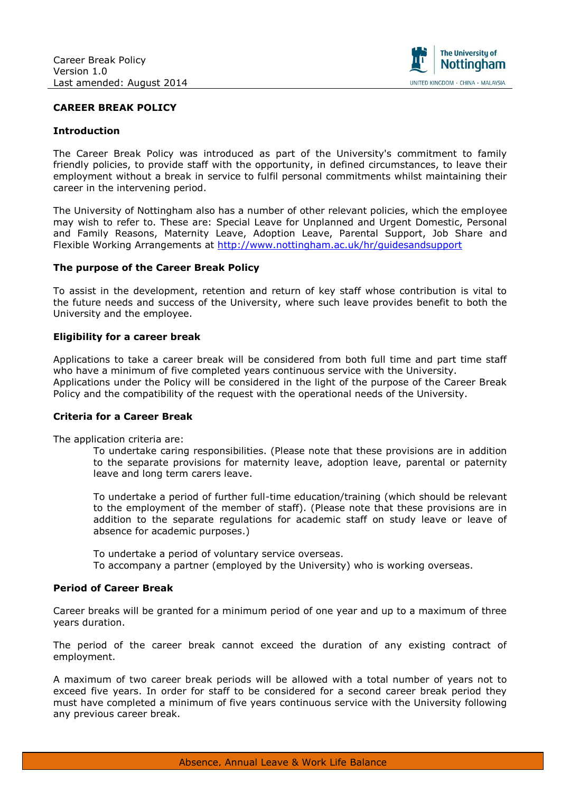

## **CAREER BREAK POLICY**

### **Introduction**

The Career Break Policy was introduced as part of the University's commitment to family friendly policies, to provide staff with the opportunity, in defined circumstances, to leave their employment without a break in service to fulfil personal commitments whilst maintaining their career in the intervening period.

The University of Nottingham also has a number of other relevant policies, which the employee may wish to refer to. These are: Special Leave for Unplanned and Urgent Domestic, Personal and Family Reasons, Maternity Leave, Adoption Leave, Parental Support, Job Share and Flexible Working Arrangements at<http://www.nottingham.ac.uk/hr/guidesandsupport>

### **The purpose of the Career Break Policy**

To assist in the development, retention and return of key staff whose contribution is vital to the future needs and success of the University, where such leave provides benefit to both the University and the employee.

### **Eligibility for a career break**

Applications to take a career break will be considered from both full time and part time staff who have a minimum of five completed years continuous service with the University. Applications under the Policy will be considered in the light of the purpose of the Career Break Policy and the compatibility of the request with the operational needs of the University.

### **Criteria for a Career Break**

The application criteria are:

To undertake caring responsibilities. (Please note that these provisions are in addition to the separate provisions for maternity leave, adoption leave, parental or paternity leave and long term carers leave.

To undertake a period of further full-time education/training (which should be relevant to the employment of the member of staff). (Please note that these provisions are in addition to the separate regulations for academic staff on study leave or leave of absence for academic purposes.)

To undertake a period of voluntary service overseas. To accompany a partner (employed by the University) who is working overseas.

### **Period of Career Break**

Career breaks will be granted for a minimum period of one year and up to a maximum of three years duration.

The period of the career break cannot exceed the duration of any existing contract of employment.

A maximum of two career break periods will be allowed with a total number of years not to exceed five years. In order for staff to be considered for a second career break period they must have completed a minimum of five years continuous service with the University following any previous career break.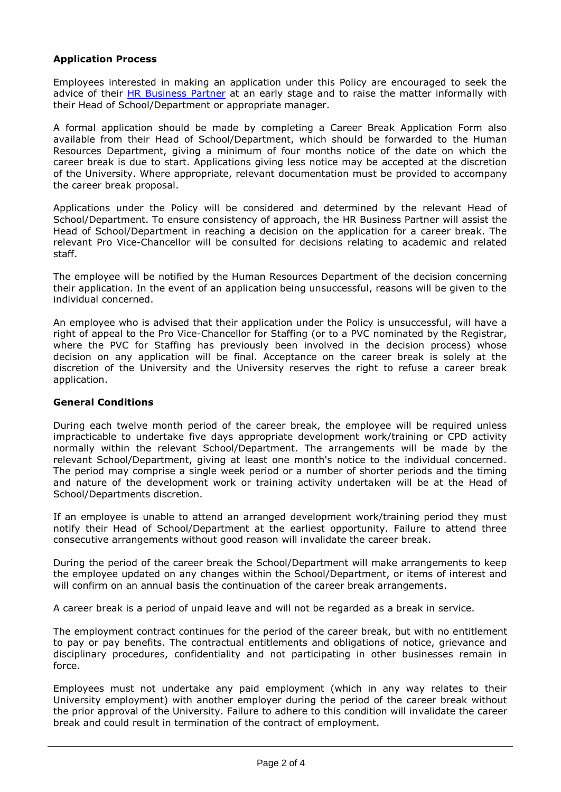## **Application Process**

Employees interested in making an application under this Policy are encouraged to seek the advice of their [HR Business Partner](http://www.nottingham.ac.uk/hr/aboutus/business-partnering.aspx) at an early stage and to raise the matter informally with their Head of School/Department or appropriate manager.

A formal application should be made by completing a Career Break Application Form also available from their Head of School/Department, which should be forwarded to the Human Resources Department, giving a minimum of four months notice of the date on which the career break is due to start. Applications giving less notice may be accepted at the discretion of the University. Where appropriate, relevant documentation must be provided to accompany the career break proposal.

Applications under the Policy will be considered and determined by the relevant Head of School/Department. To ensure consistency of approach, the HR Business Partner will assist the Head of School/Department in reaching a decision on the application for a career break. The relevant Pro Vice-Chancellor will be consulted for decisions relating to academic and related staff.

The employee will be notified by the Human Resources Department of the decision concerning their application. In the event of an application being unsuccessful, reasons will be given to the individual concerned.

An employee who is advised that their application under the Policy is unsuccessful, will have a right of appeal to the Pro Vice-Chancellor for Staffing (or to a PVC nominated by the Registrar, where the PVC for Staffing has previously been involved in the decision process) whose decision on any application will be final. Acceptance on the career break is solely at the discretion of the University and the University reserves the right to refuse a career break application.

## **General Conditions**

During each twelve month period of the career break, the employee will be required unless impracticable to undertake five days appropriate development work/training or CPD activity normally within the relevant School/Department. The arrangements will be made by the relevant School/Department, giving at least one month's notice to the individual concerned. The period may comprise a single week period or a number of shorter periods and the timing and nature of the development work or training activity undertaken will be at the Head of School/Departments discretion.

If an employee is unable to attend an arranged development work/training period they must notify their Head of School/Department at the earliest opportunity. Failure to attend three consecutive arrangements without good reason will invalidate the career break.

During the period of the career break the School/Department will make arrangements to keep the employee updated on any changes within the School/Department, or items of interest and will confirm on an annual basis the continuation of the career break arrangements.

A career break is a period of unpaid leave and will not be regarded as a break in service.

The employment contract continues for the period of the career break, but with no entitlement to pay or pay benefits. The contractual entitlements and obligations of notice, grievance and disciplinary procedures, confidentiality and not participating in other businesses remain in force.

Employees must not undertake any paid employment (which in any way relates to their University employment) with another employer during the period of the career break without the prior approval of the University. Failure to adhere to this condition will invalidate the career break and could result in termination of the contract of employment.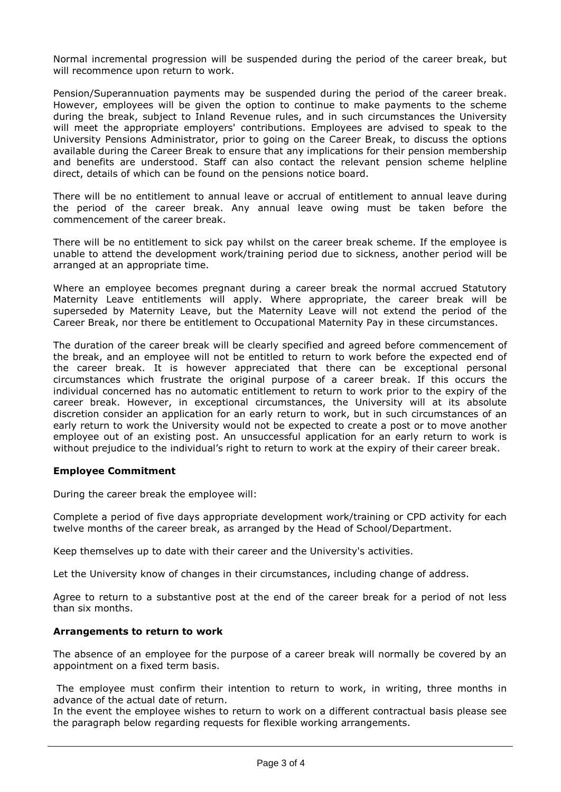Normal incremental progression will be suspended during the period of the career break, but will recommence upon return to work.

Pension/Superannuation payments may be suspended during the period of the career break. However, employees will be given the option to continue to make payments to the scheme during the break, subject to Inland Revenue rules, and in such circumstances the University will meet the appropriate employers' contributions. Employees are advised to speak to the University Pensions Administrator, prior to going on the Career Break, to discuss the options available during the Career Break to ensure that any implications for their pension membership and benefits are understood. Staff can also contact the relevant pension scheme helpline direct, details of which can be found on the pensions notice board.

There will be no entitlement to annual leave or accrual of entitlement to annual leave during the period of the career break. Any annual leave owing must be taken before the commencement of the career break.

There will be no entitlement to sick pay whilst on the career break scheme. If the employee is unable to attend the development work/training period due to sickness, another period will be arranged at an appropriate time.

Where an employee becomes pregnant during a career break the normal accrued Statutory Maternity Leave entitlements will apply. Where appropriate, the career break will be superseded by Maternity Leave, but the Maternity Leave will not extend the period of the Career Break, nor there be entitlement to Occupational Maternity Pay in these circumstances.

The duration of the career break will be clearly specified and agreed before commencement of the break, and an employee will not be entitled to return to work before the expected end of the career break. It is however appreciated that there can be exceptional personal circumstances which frustrate the original purpose of a career break. If this occurs the individual concerned has no automatic entitlement to return to work prior to the expiry of the career break. However, in exceptional circumstances, the University will at its absolute discretion consider an application for an early return to work, but in such circumstances of an early return to work the University would not be expected to create a post or to move another employee out of an existing post. An unsuccessful application for an early return to work is without prejudice to the individual's right to return to work at the expiry of their career break.

## **Employee Commitment**

During the career break the employee will:

Complete a period of five days appropriate development work/training or CPD activity for each twelve months of the career break, as arranged by the Head of School/Department.

Keep themselves up to date with their career and the University's activities.

Let the University know of changes in their circumstances, including change of address.

Agree to return to a substantive post at the end of the career break for a period of not less than six months.

## **Arrangements to return to work**

The absence of an employee for the purpose of a career break will normally be covered by an appointment on a fixed term basis.

The employee must confirm their intention to return to work, in writing, three months in advance of the actual date of return.

In the event the employee wishes to return to work on a different contractual basis please see the paragraph below regarding requests for flexible working arrangements.